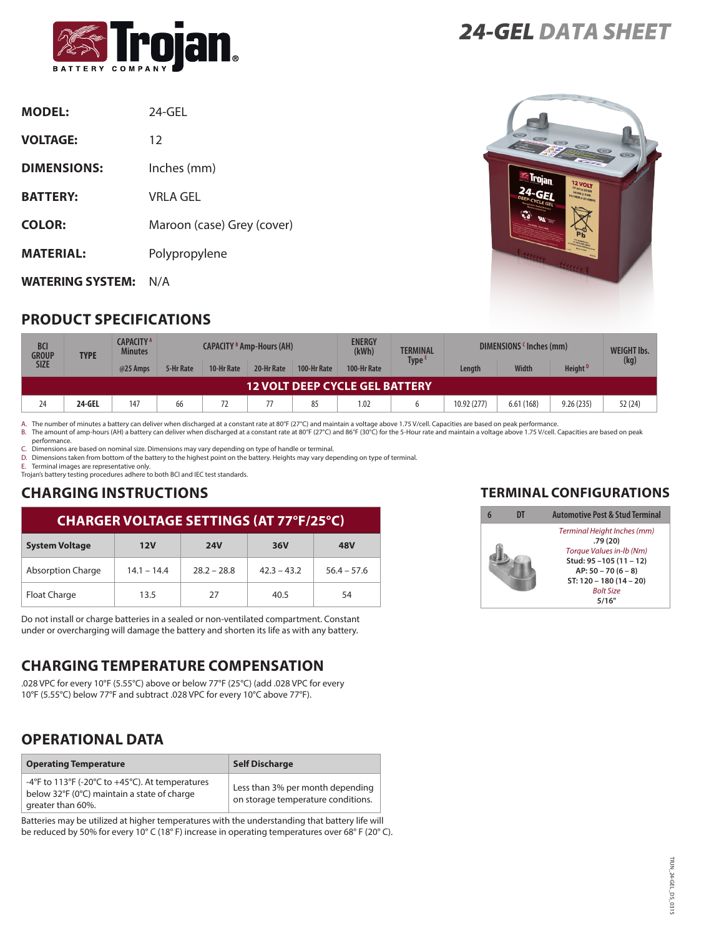

| <b>MODEL:</b>           | $24-GFL$                   |
|-------------------------|----------------------------|
| <b>VOLTAGE:</b>         | 12                         |
| <b>DIMENSIONS:</b>      | Inches (mm)                |
| <b>BATTERY:</b>         | <b>VRLA GEL</b>            |
| <b>COLOR:</b>           | Maroon (case) Grey (cover) |
| <b>MATERIAL:</b>        | Polypropylene              |
| <b>WATERING SYSTEM:</b> | N/A                        |

# **PRODUCT SPECIFICATIONS**

*24-GEL DATA SHEET*



| BCI<br><b>GROUP</b>                   | <b>TYPE</b> | CAPACITY <sup>A</sup><br><b>Minutes</b> | <b>CAPACITY <sup>B</sup> Amp-Hours (AH)</b> |            |            | <b>ENERGY</b><br>(kWh) | <b>TERMINAL</b> | DIMENSIONS (Inches (mm) |             |              | <b>WEIGHT Ibs.</b>  |        |
|---------------------------------------|-------------|-----------------------------------------|---------------------------------------------|------------|------------|------------------------|-----------------|-------------------------|-------------|--------------|---------------------|--------|
| <b>SIZE</b>                           |             | @25 Amps                                | 5-Hr Rate                                   | 10-Hr Rate | 20-Hr Rate | 100-Hr Rate            | 100-Hr Rate     | Type <sup>1</sup>       | Length      | <b>Width</b> | Height <sup>D</sup> | (kg)   |
| <b>12 VOLT DEEP CYCLE GEL BATTERY</b> |             |                                         |                                             |            |            |                        |                 |                         |             |              |                     |        |
| 24                                    | 24-GEL      | 147                                     | 66                                          |            |            | 85                     | 1.02            |                         | 10.92 (277) | 6.61(168)    | 9.26(235)           | 52(24) |

A. The number of minutes a battery can deliver when discharged at a constant rate at 80°F (27°C) and maintain a voltage above 1.75 V/cell. Capacities are based on peak performance.<br>B. The amount of amp-hours (AH) a battery

performance.

C. Dimensions are based on nominal size. Dimensions may vary depending on type of handle or terminal.

D. Dimensions taken from bottom of the battery to the highest point on the battery. Heights may vary depending on type of terminal.

E. Terminal images are representative only. Trojan's battery testing procedures adhere to both BCI and IEC test standards.

# **CHARGING INSTRUCTIONS**

#### **CHARGER VOLTAGE SETTINGS (AT 77°F/25°C)**

| <b>System Voltage</b>    | 12V           | <b>24V</b>    | <b>36V</b>    | <b>48V</b>    |  |
|--------------------------|---------------|---------------|---------------|---------------|--|
| <b>Absorption Charge</b> | $14.1 - 14.4$ | $28.2 - 28.8$ | $42.3 - 43.2$ | $56.4 - 57.6$ |  |
| Float Charge             | 13.5          | 27            | 40.5          | 54            |  |

Do not install or charge batteries in a sealed or non-ventilated compartment. Constant under or overcharging will damage the battery and shorten its life as with any battery.

### **CHARGING TEMPERATURE COMPENSATION**

.028 VPC for every 10°F (5.55°C) above or below 77°F (25°C) (add .028 VPC for every 10°F (5.55°C) below 77°F and subtract .028 VPC for every 10°C above 77°F).

### **OPERATIONAL DATA**

| <b>Operating Temperature</b>                                                                                        | <b>Self Discharge</b>                                                  |
|---------------------------------------------------------------------------------------------------------------------|------------------------------------------------------------------------|
| -4°F to 113°F (-20°C to +45°C). At temperatures<br>below 32°F (0°C) maintain a state of charge<br>greater than 60%. | Less than 3% per month depending<br>on storage temperature conditions. |

Batteries may be utilized at higher temperatures with the understanding that battery life will be reduced by 50% for every 10° C (18° F) increase in operating temperatures over 68° F (20° C).

#### **TERMINAL CONFIGURATIONS**